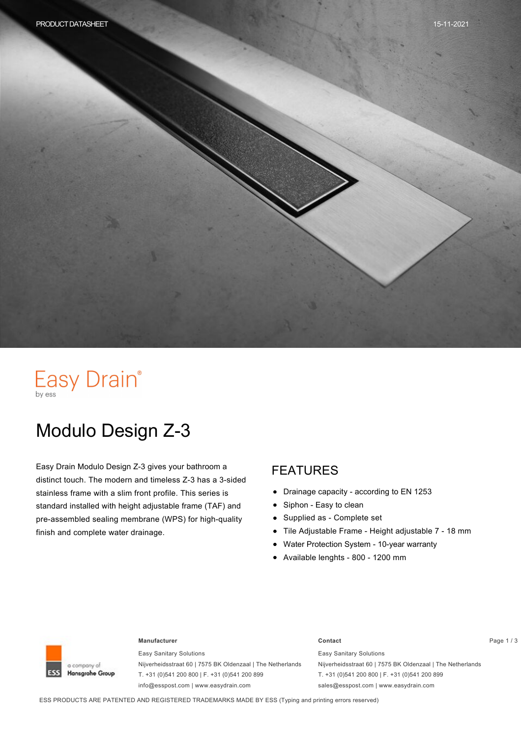# Easy Drain®

# Modulo Design Z-3

Easy Drain Modulo Design Z-3 gives your bathroom a distinct touch. The modern and timeless Z-3 has a 3-sided stainless frame with a slim front profile. This series is standard installed with height adjustable frame (TAF) and pre-assembled sealing membrane (WPS) for high-quality finish and complete water drainage.

#### FEATURES

- Drainage capacity according to EN 1253
- Siphon Easy to clean
- Supplied as Complete set  $\bullet$
- Tile Adjustable Frame Height adjustable 7 18 mm
- Water Protection System 10-year warranty
- Available lenghts 800 1200 mm



#### **Manufacturer Contact** Page 1 / 3

Easy Sanitary Solutions Nijverheidsstraat 60 | 7575 BK Oldenzaal | The Netherlands T. +31 (0)541 200 800 | F. +31 (0)541 200 899 info@esspost.com | www.easydrain.com

Easy Sanitary Solutions Nijverheidsstraat 60 | 7575 BK Oldenzaal | The Netherlands T. +31 (0)541 200 800 | F. +31 (0)541 200 899 sales@esspost.com | www.easydrain.com

ESS PRODUCTS ARE PATENTED AND REGISTERED TRADEMARKS MADE BY ESS (Typing and printing errors reserved)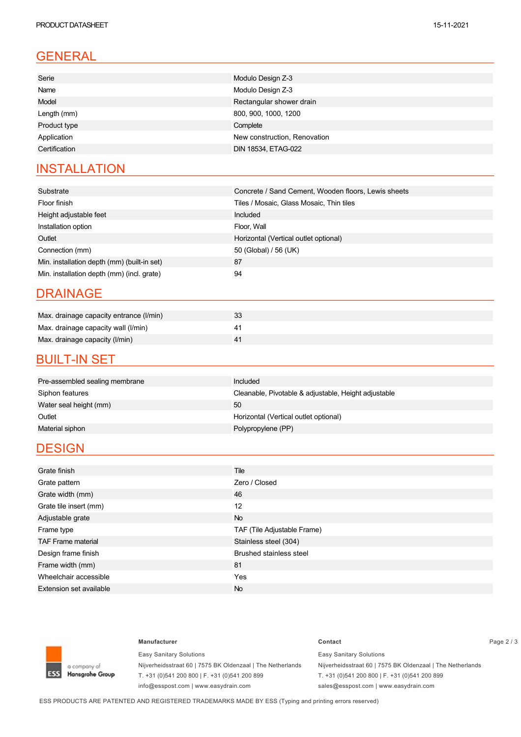### GENERAL

| Serie         | Modulo Design Z-3            |
|---------------|------------------------------|
| Name          | Modulo Design Z-3            |
| Model         | Rectangular shower drain     |
| Length (mm)   | 800, 900, 1000, 1200         |
| Product type  | Complete                     |
| Application   | New construction, Renovation |
| Certification | DIN 18534, ETAG-022          |

### **INSTALLATION**

| Substrate                                   | Concrete / Sand Cement, Wooden floors, Lewis sheets |
|---------------------------------------------|-----------------------------------------------------|
| Floor finish                                | Tiles / Mosaic, Glass Mosaic, Thin tiles            |
| Height adjustable feet                      | Included                                            |
| Installation option                         | Floor, Wall                                         |
| Outlet                                      | Horizontal (Vertical outlet optional)               |
| Connection (mm)                             | 50 (Global) / 56 (UK)                               |
| Min. installation depth (mm) (built-in set) | 87                                                  |
| Min. installation depth (mm) (incl. grate)  | 94                                                  |

#### DRAINAGE

| Max. drainage capacity entrance (I/min) | 33 |
|-----------------------------------------|----|
| Max. drainage capacity wall (I/min)     |    |
| Max. drainage capacity (I/min)          |    |

#### **BUILT-IN SET**

| Pre-assembled sealing membrane | Included                                             |
|--------------------------------|------------------------------------------------------|
| Siphon features                | Cleanable, Pivotable & adjustable, Height adjustable |
| Water seal height (mm)         | 50                                                   |
| Outlet                         | Horizontal (Vertical outlet optional)                |
| Material siphon                | Polypropylene (PP)                                   |
|                                |                                                      |

#### **DESIGN**

| Grate finish                   | Tile                           |
|--------------------------------|--------------------------------|
| Grate pattern                  | Zero / Closed                  |
| Grate width (mm)               | 46                             |
| Grate tile insert (mm)         | 12                             |
| Adjustable grate               | <b>No</b>                      |
| Frame type                     | TAF (Tile Adjustable Frame)    |
| <b>TAF Frame material</b>      | Stainless steel (304)          |
| Design frame finish            | <b>Brushed stainless steel</b> |
| Frame width (mm)               | 81                             |
| Wheelchair accessible          | Yes                            |
| <b>Extension set available</b> | <b>No</b>                      |



Easy Sanitary Solutions Nijverheidsstraat 60 | 7575 BK Oldenzaal | The Netherlands T. +31 (0)541 200 800 | F. +31 (0)541 200 899 info@esspost.com | www.easydrain.com

#### **Manufacturer Contact** Page 2 / 3 Easy Sanitary Solutions Nijverheidsstraat 60 | 7575 BK Oldenzaal | The Netherlands

T. +31 (0)541 200 800 | F. +31 (0)541 200 899 sales@esspost.com | www.easydrain.com

ESS PRODUCTS ARE PATENTED AND REGISTERED TRADEMARKS MADE BY ESS (Typing and printing errors reserved)